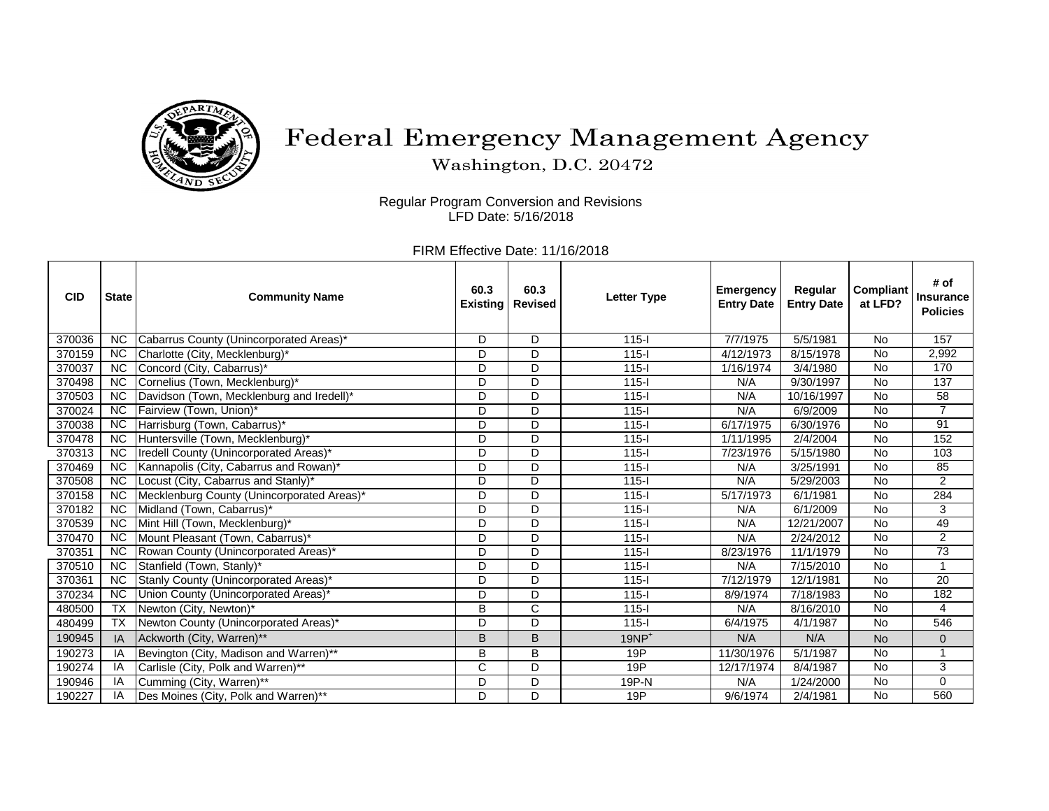

## Federal Emergency Management Agency

Washington, D.C. 20472

Regular Program Conversion and Revisions LFD Date: 5/16/2018

FIRM Effective Date: 11/16/2018

| <b>CID</b> | <b>State</b>             | <b>Community Name</b>                      | 60.3<br><b>Existing</b> | 60.3<br><b>Revised</b> | <b>Letter Type</b> | <b>Emergency</b><br><b>Entry Date</b> | Regular<br><b>Entry Date</b> | <b>Compliant</b><br>at LFD? | # of<br><b>Insurance</b><br><b>Policies</b> |
|------------|--------------------------|--------------------------------------------|-------------------------|------------------------|--------------------|---------------------------------------|------------------------------|-----------------------------|---------------------------------------------|
| 370036     | <b>NC</b>                | Cabarrus County (Unincorporated Areas)*    | D                       | D                      | $115-I$            | 7/7/1975                              | 5/5/1981                     | <b>No</b>                   | 157                                         |
| 370159     | <b>NC</b>                | Charlotte (City, Mecklenburg)*             | D                       | D                      | $115 -$            | 4/12/1973                             | 8/15/1978                    | No                          | 2,992                                       |
| 370037     | <b>NC</b>                | Concord (City, Cabarrus)*                  | D                       | D                      | $115 -$            | 1/16/1974                             | 3/4/1980                     | <b>No</b>                   | 170                                         |
| 370498     | <b>NC</b>                | Cornelius (Town, Mecklenburg)*             | D                       | D                      | $115 -$            | N/A                                   | 9/30/1997                    | No                          | 137                                         |
| 370503     | $\overline{NC}$          | Davidson (Town, Mecklenburg and Iredell)*  | D                       | D                      | $115-I$            | N/A                                   | 10/16/1997                   | <b>No</b>                   | $\overline{58}$                             |
| 370024     | <b>NC</b>                | Fairview (Town, Union)*                    | D                       | D                      | $115-I$            | N/A                                   | 6/9/2009                     | No                          | $\overline{7}$                              |
| 370038     | $\overline{NC}$          | Harrisburg (Town, Cabarrus)*               | D                       | D                      | $115 -$            | 6/17/1975                             | 6/30/1976                    | No                          | 91                                          |
| 370478     | <b>NC</b>                | Huntersville (Town, Mecklenburg)*          | D                       | D                      | $115 -$            | 1/11/1995                             | 2/4/2004                     | <b>No</b>                   | 152                                         |
| 370313     | <b>NC</b>                | Iredell County (Unincorporated Areas)*     | D                       | D                      | $115-I$            | 7/23/1976                             | 5/15/1980                    | <b>No</b>                   | 103                                         |
| 370469     | $\overline{NC}$          | Kannapolis (City, Cabarrus and Rowan)*     | D                       | D                      | $115 -$            | N/A                                   | 3/25/1991                    | $\overline{N}$              | 85                                          |
| 370508     | $\overline{NC}$          | Locust (City, Cabarrus and Stanly)*        | D                       | D                      | $115 -$            | N/A                                   | 5/29/2003                    | <b>No</b>                   | $\overline{2}$                              |
| 370158     | $\overline{NC}$          | Mecklenburg County (Unincorporated Areas)* | D                       | D                      | $115 -$            | 5/17/1973                             | 6/1/1981                     | <b>No</b>                   | 284                                         |
| 370182     | <b>NC</b>                | Midland (Town, Cabarrus)*                  | D                       | D                      | $115-I$            | N/A                                   | 6/1/2009                     | <b>No</b>                   | 3                                           |
| 370539     | <b>NC</b>                | Mint Hill (Town, Mecklenburg)*             | D                       | D                      | $115 -$            | N/A                                   | 12/21/2007                   | No                          | 49                                          |
| 370470     | <b>NC</b>                | Mount Pleasant (Town, Cabarrus)*           | D                       | D                      | $115 -$            | N/A                                   | 2/24/2012                    | <b>No</b>                   | $\overline{2}$                              |
| 370351     | <b>NC</b>                | Rowan County (Unincorporated Areas)*       | D                       | D                      | $115-I$            | 8/23/1976                             | 11/1/1979                    | No                          | $\overline{73}$                             |
| 370510     | $\overline{NC}$          | Stanfield (Town, Stanly)*                  | D                       | D                      | $115 -$            | N/A                                   | 7/15/2010                    | <b>No</b>                   | $\mathbf{1}$                                |
| 370361     | <b>NC</b>                | Stanly County (Unincorporated Areas)*      | D                       | D                      | $115-I$            | 7/12/1979                             | 12/1/1981                    | <b>No</b>                   | $\overline{20}$                             |
| 370234     | $\overline{NC}$          | Union County (Unincorporated Areas)*       | D                       | D                      | $115 -$            | 8/9/1974                              | 7/18/1983                    | <b>No</b>                   | 182                                         |
| 480500     | $\overline{TX}$          | Newton (City, Newton)*                     | B                       | $\overline{C}$         | $115-I$            | N/A                                   | 8/16/2010                    | $\overline{N}$              | $\overline{4}$                              |
| 480499     | $\overline{\mathsf{TX}}$ | Newton County (Unincorporated Areas)*      | D                       | D                      | $115 -$            | 6/4/1975                              | 4/1/1987                     | <b>No</b>                   | 546                                         |
| 190945     | ΙA                       | Ackworth (City, Warren)**                  | B                       | B                      | $19NP+$            | N/A                                   | N/A                          | <b>No</b>                   | $\mathbf 0$                                 |
| 190273     | ΙA                       | Bevington (City, Madison and Warren)**     | B                       | B                      | 19P                | 11/30/1976                            | 5/1/1987                     | No                          | 1                                           |
| 190274     |                          | Carlisle (City, Polk and Warren)**         | $\mathsf C$             | D                      | 19P                | 12/17/1974                            | 8/4/1987                     | <b>No</b>                   | 3                                           |
| 190946     | ΙA                       | Cumming (City, Warren)**                   | D                       | D                      | 19P-N              | N/A                                   | 1/24/2000                    | No                          | $\mathbf 0$                                 |
| 190227     | ΙA                       | Des Moines (City, Polk and Warren)**       | D                       | D                      | 19P                | 9/6/1974                              | 2/4/1981                     | <b>No</b>                   | 560                                         |